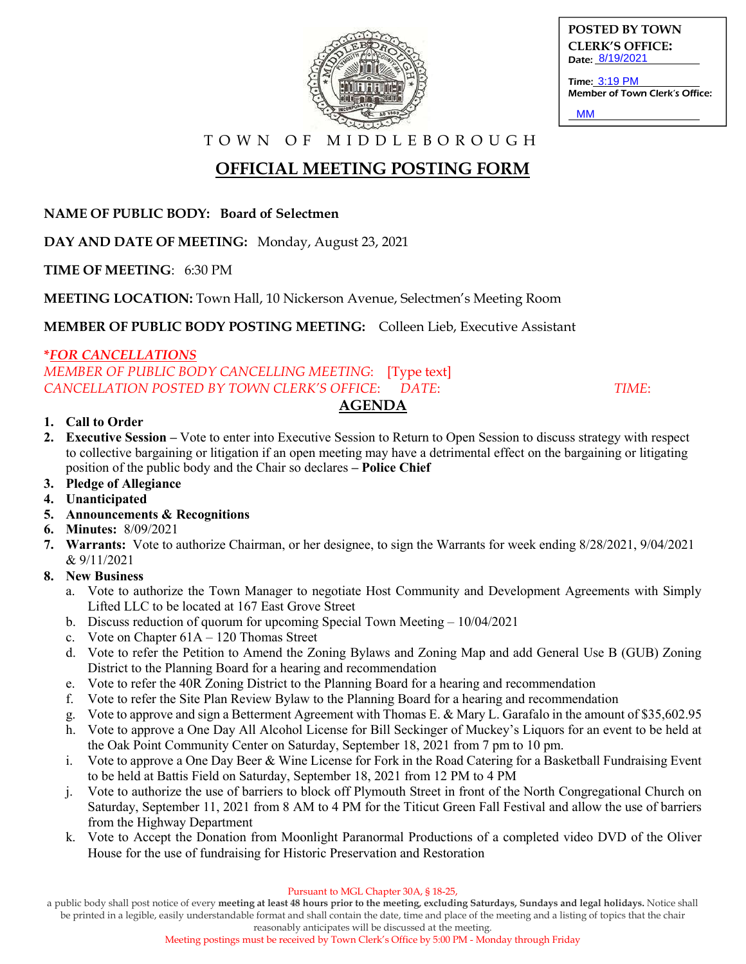

**POSTED BY TOWN CLERK'S OFFICE:** Date: 8/19/2021

Time: 3:19 PM Member of Town Clerk's Office: **MM** 

T O W N O F M I D D L E B O R O U G H

# **OFFICIAL MEETING POSTING FORM**

**NAME OF PUBLIC BODY: Board of Selectmen**

**DAY AND DATE OF MEETING:** Monday, August 23, 2021

**TIME OF MEETING**: 6:30 PM

**MEETING LOCATION:** Town Hall, 10 Nickerson Avenue, Selectmen's Meeting Room

**MEMBER OF PUBLIC BODY POSTING MEETING:** Colleen Lieb, Executive Assistant

#### **\****FOR CANCELLATIONS*

*MEMBER OF PUBLIC BODY CANCELLING MEETING*: [Type text] *CANCELLATION POSTED BY TOWN CLERK'S OFFICE*: *DATE*: *TIME*:

### **AGENDA**

#### **1. Call to Order**

- **2. Executive Session –** Vote to enter into Executive Session to Return to Open Session to discuss strategy with respect to collective bargaining or litigation if an open meeting may have a detrimental effect on the bargaining or litigating position of the public body and the Chair so declares **– Police Chief**
- **3. Pledge of Allegiance**
- **4. Unanticipated**
- **5. Announcements & Recognitions**
- **6. Minutes:** 8/09/2021
- **7. Warrants:** Vote to authorize Chairman, or her designee, to sign the Warrants for week ending 8/28/2021, 9/04/2021 & 9/11/2021

### **8. New Business**

- a. Vote to authorize the Town Manager to negotiate Host Community and Development Agreements with Simply Lifted LLC to be located at 167 East Grove Street
- b. Discuss reduction of quorum for upcoming Special Town Meeting 10/04/2021
- c. Vote on Chapter 61A 120 Thomas Street
- d. Vote to refer the Petition to Amend the Zoning Bylaws and Zoning Map and add General Use B (GUB) Zoning District to the Planning Board for a hearing and recommendation
- e. Vote to refer the 40R Zoning District to the Planning Board for a hearing and recommendation
- f. Vote to refer the Site Plan Review Bylaw to the Planning Board for a hearing and recommendation
- g. Vote to approve and sign a Betterment Agreement with Thomas E. & Mary L. Garafalo in the amount of \$35,602.95
- h. Vote to approve a One Day All Alcohol License for Bill Seckinger of Muckey's Liquors for an event to be held at the Oak Point Community Center on Saturday, September 18, 2021 from 7 pm to 10 pm.
- i. Vote to approve a One Day Beer & Wine License for Fork in the Road Catering for a Basketball Fundraising Event to be held at Battis Field on Saturday, September 18, 2021 from 12 PM to 4 PM
- j. Vote to authorize the use of barriers to block off Plymouth Street in front of the North Congregational Church on Saturday, September 11, 2021 from 8 AM to 4 PM for the Titicut Green Fall Festival and allow the use of barriers from the Highway Department
- k. Vote to Accept the Donation from Moonlight Paranormal Productions of a completed video DVD of the Oliver House for the use of fundraising for Historic Preservation and Restoration

a public body shall post notice of every **meeting at least 48 hours prior to the meeting, excluding Saturdays, Sundays and legal holidays.** Notice shall be printed in a legible, easily understandable format and shall contain the date, time and place of the meeting and a listing of topics that the chair

reasonably anticipates will be discussed at the meeting.